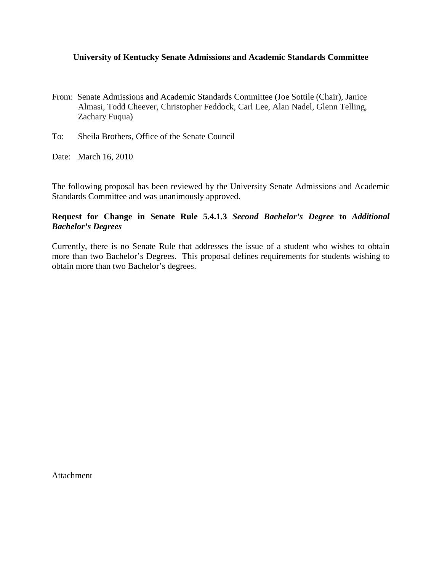#### **University of Kentucky Senate Admissions and Academic Standards Committee**

- From: Senate Admissions and Academic Standards Committee (Joe Sottile (Chair), Janice Almasi, Todd Cheever, Christopher Feddock, Carl Lee, Alan Nadel, Glenn Telling, Zachary Fuqua)
- To: Sheila Brothers, Office of the Senate Council
- Date: March 16, 2010

The following proposal has been reviewed by the University Senate Admissions and Academic Standards Committee and was unanimously approved.

### **Request for Change in Senate Rule 5.4.1.3** *Second Bachelor's Degree* **to** *Additional Bachelor's Degrees*

Currently, there is no Senate Rule that addresses the issue of a student who wishes to obtain more than two Bachelor's Degrees. This proposal defines requirements for students wishing to obtain more than two Bachelor's degrees.

Attachment